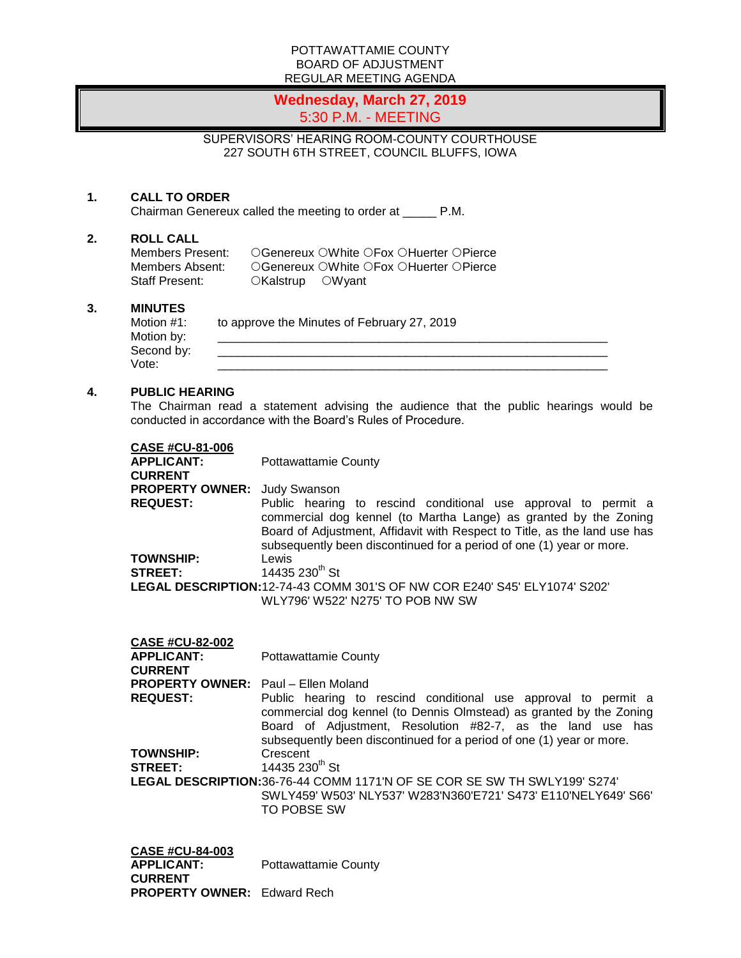#### POTTAWATTAMIE COUNTY BOARD OF ADJUSTMENT REGULAR MEETING AGENDA

# **Wednesday, March 27, 2019** 5:30 P.M. - MEETING

SUPERVISORS' HEARING ROOM-COUNTY COURTHOUSE 227 SOUTH 6TH STREET, COUNCIL BLUFFS, IOWA

## **1. CALL TO ORDER**

Chairman Genereux called the meeting to order at \_\_\_\_\_ P.M.

#### **2. ROLL CALL**

Members Present: CGenereux OWhite OFox OHuerter OPierce<br>Members Absent: CGenereux OWhite OFox OHuerter OPierce Members Absent: CGenereux OWhite OFox OHuerter OPierce<br>Staff Present: CKalstrup OWyant OKalstrup OWyant

### **3. MINUTES**

| Motion #1: | to approve the Minutes of February 27, 2019 |
|------------|---------------------------------------------|
| Motion by: |                                             |
| Second by: |                                             |
| Vote:      |                                             |

#### **4. PUBLIC HEARING**

The Chairman read a statement advising the audience that the public hearings would be conducted in accordance with the Board's Rules of Procedure.

| <b>CASE #CU-81-006</b>              |                                                                                                                                                                                                                                                                                         |
|-------------------------------------|-----------------------------------------------------------------------------------------------------------------------------------------------------------------------------------------------------------------------------------------------------------------------------------------|
| <b>APPLICANT:</b>                   | Pottawattamie County                                                                                                                                                                                                                                                                    |
| <b>CURRENT</b>                      |                                                                                                                                                                                                                                                                                         |
| <b>PROPERTY OWNER:</b> Judy Swanson |                                                                                                                                                                                                                                                                                         |
| <b>REQUEST:</b>                     | Public hearing to rescind conditional use approval to permit a<br>commercial dog kennel (to Martha Lange) as granted by the Zoning<br>Board of Adjustment, Affidavit with Respect to Title, as the land use has<br>subsequently been discontinued for a period of one (1) year or more. |
| <b>TOWNSHIP:</b>                    | Lewis                                                                                                                                                                                                                                                                                   |
| <b>STREET:</b>                      | 14435 230 <sup>th</sup> St                                                                                                                                                                                                                                                              |
|                                     | LEGAL DESCRIPTION:12-74-43 COMM 301'S OF NW COR E240' S45' ELY1074' S202'                                                                                                                                                                                                               |
|                                     | WLY796' W522' N275' TO POB NW SW                                                                                                                                                                                                                                                        |

| <b>CASE #CU-82-002</b><br><b>APPLICANT:</b><br><b>CURRENT</b> | Pottawattamie County                                                                                                                                                                                                                                                        |
|---------------------------------------------------------------|-----------------------------------------------------------------------------------------------------------------------------------------------------------------------------------------------------------------------------------------------------------------------------|
| <b>PROPERTY OWNER:</b> Paul – Ellen Moland                    |                                                                                                                                                                                                                                                                             |
| <b>REQUEST:</b>                                               | Public hearing to rescind conditional use approval to permit a<br>commercial dog kennel (to Dennis Olmstead) as granted by the Zoning<br>Board of Adjustment, Resolution #82-7, as the land use has<br>subsequently been discontinued for a period of one (1) year or more. |
| <b>TOWNSHIP:</b>                                              | Crescent                                                                                                                                                                                                                                                                    |
| <b>STREET:</b>                                                | 14435 230 <sup>th</sup> St                                                                                                                                                                                                                                                  |
|                                                               | <b>LEGAL DESCRIPTION:</b> 36-76-44 COMM 1171'N OF SE COR SE SW TH SWLY199' S274'<br>SWLY459' W503' NLY537' W283'N360'E721' S473' E110'NELY649' S66'<br><b>TO POBSE SW</b>                                                                                                   |

| <b>CASE #CU-84-003</b>             |                      |
|------------------------------------|----------------------|
| <b>APPLICANT:</b>                  | Pottawattamie County |
| <b>CURRENT</b>                     |                      |
| <b>PROPERTY OWNER:</b> Edward Rech |                      |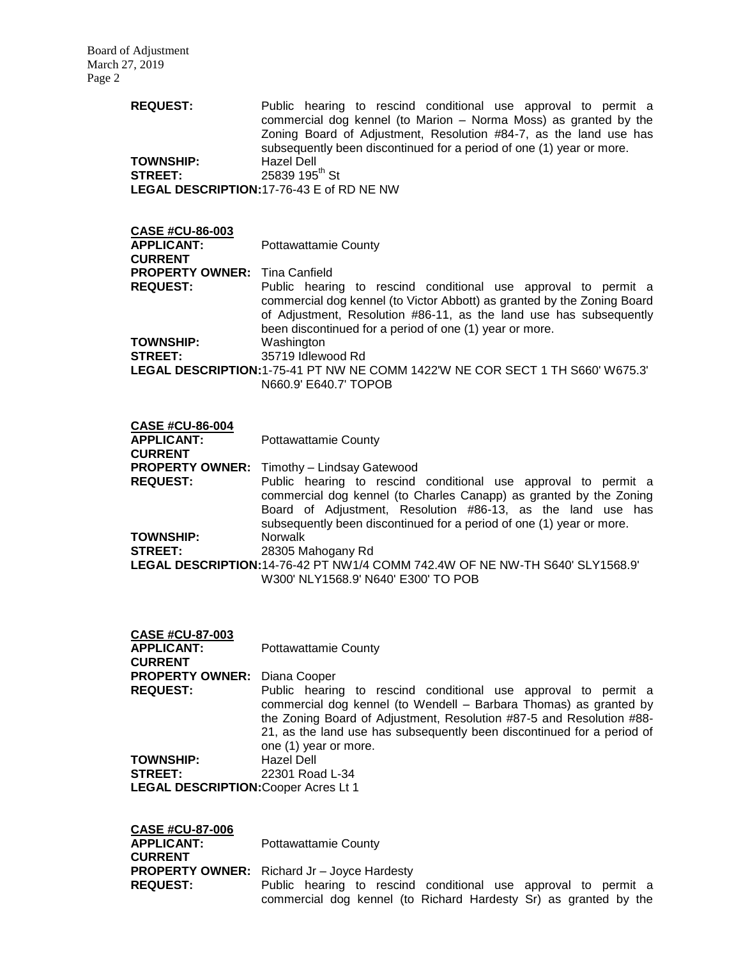| <b>REQUEST:</b>                      | Public hearing to rescind conditional use approval to permit a<br>commercial dog kennel (to Marion – Norma Moss) as granted by the<br>Zoning Board of Adjustment, Resolution #84-7, as the land use has<br>subsequently been discontinued for a period of one (1) year or more. |
|--------------------------------------|---------------------------------------------------------------------------------------------------------------------------------------------------------------------------------------------------------------------------------------------------------------------------------|
| <b>TOWNSHIP:</b>                     | Hazel Dell                                                                                                                                                                                                                                                                      |
| <b>STREET:</b>                       | 25839 195 <sup>th</sup> St                                                                                                                                                                                                                                                      |
|                                      | LEGAL DESCRIPTION: 17-76-43 E of RD NE NW                                                                                                                                                                                                                                       |
| <b>CASE #CU-86-003</b>               |                                                                                                                                                                                                                                                                                 |
| <b>APPLICANT:</b><br><b>CURRENT</b>  | Pottawattamie County                                                                                                                                                                                                                                                            |
| <b>PROPERTY OWNER:</b> Tina Canfield |                                                                                                                                                                                                                                                                                 |

**REQUEST:** Public hearing to rescind conditional use approval to permit a commercial dog kennel (to Victor Abbott) as granted by the Zoning Board of Adjustment, Resolution #86-11, as the land use has subsequently been discontinued for a period of one (1) year or more. **TOWNSHIP:** Washington **STREET:** 35719 Idlewood Rd **LEGAL DESCRIPTION:**1-75-41 PT NW NE COMM 1422'W NE COR SECT 1 TH S660' W675.3' N660.9' E640.7' TOPOB

| <b>CASE #CU-86-004</b> |                                                                                                                                                                                                                                                                             |
|------------------------|-----------------------------------------------------------------------------------------------------------------------------------------------------------------------------------------------------------------------------------------------------------------------------|
| <b>APPLICANT:</b>      | <b>Pottawattamie County</b>                                                                                                                                                                                                                                                 |
| <b>CURRENT</b>         |                                                                                                                                                                                                                                                                             |
|                        | <b>PROPERTY OWNER:</b> Timothy - Lindsay Gatewood                                                                                                                                                                                                                           |
| <b>REQUEST:</b>        | Public hearing to rescind conditional use approval to permit a<br>commercial dog kennel (to Charles Canapp) as granted by the Zoning<br>Board of Adjustment, Resolution #86-13, as the land use has<br>subsequently been discontinued for a period of one (1) year or more. |
| <b>TOWNSHIP:</b>       | <b>Norwalk</b>                                                                                                                                                                                                                                                              |
| <b>STREET:</b>         | 28305 Mahogany Rd                                                                                                                                                                                                                                                           |
|                        | LEGAL DESCRIPTION:14-76-42 PT NW1/4 COMM 742.4W OF NE NW-TH S640' SLY1568.9'                                                                                                                                                                                                |
|                        | W300' NLY1568.9' N640' E300' TO POB                                                                                                                                                                                                                                         |

| <b>CASE #CU-87-003</b>                      |                                                                                                                                                                                                                                                                                                                |
|---------------------------------------------|----------------------------------------------------------------------------------------------------------------------------------------------------------------------------------------------------------------------------------------------------------------------------------------------------------------|
| <b>APPLICANT:</b><br><b>CURRENT</b>         | <b>Pottawattamie County</b>                                                                                                                                                                                                                                                                                    |
| <b>PROPERTY OWNER: Diana Cooper</b>         |                                                                                                                                                                                                                                                                                                                |
| <b>REQUEST:</b>                             | Public hearing to rescind conditional use approval to permit a<br>commercial dog kennel (to Wendell - Barbara Thomas) as granted by<br>the Zoning Board of Adjustment, Resolution #87-5 and Resolution #88-<br>21, as the land use has subsequently been discontinued for a period of<br>one (1) year or more. |
| <b>TOWNSHIP:</b>                            | Hazel Dell                                                                                                                                                                                                                                                                                                     |
| <b>STREET:</b>                              | 22301 Road L-34                                                                                                                                                                                                                                                                                                |
| <b>LEGAL DESCRIPTION: Cooper Acres Lt 1</b> |                                                                                                                                                                                                                                                                                                                |

| <b>CASE #CU-87-006</b><br><b>APPLICANT:</b><br><b>CURRENT</b> | <b>Pottawattamie County</b>                                                                                                        |
|---------------------------------------------------------------|------------------------------------------------------------------------------------------------------------------------------------|
|                                                               | <b>PROPERTY OWNER:</b> Richard Jr – Joyce Hardesty                                                                                 |
| <b>REQUEST:</b>                                               | Public hearing to rescind conditional use approval to permit a<br>commercial dog kennel (to Richard Hardesty Sr) as granted by the |